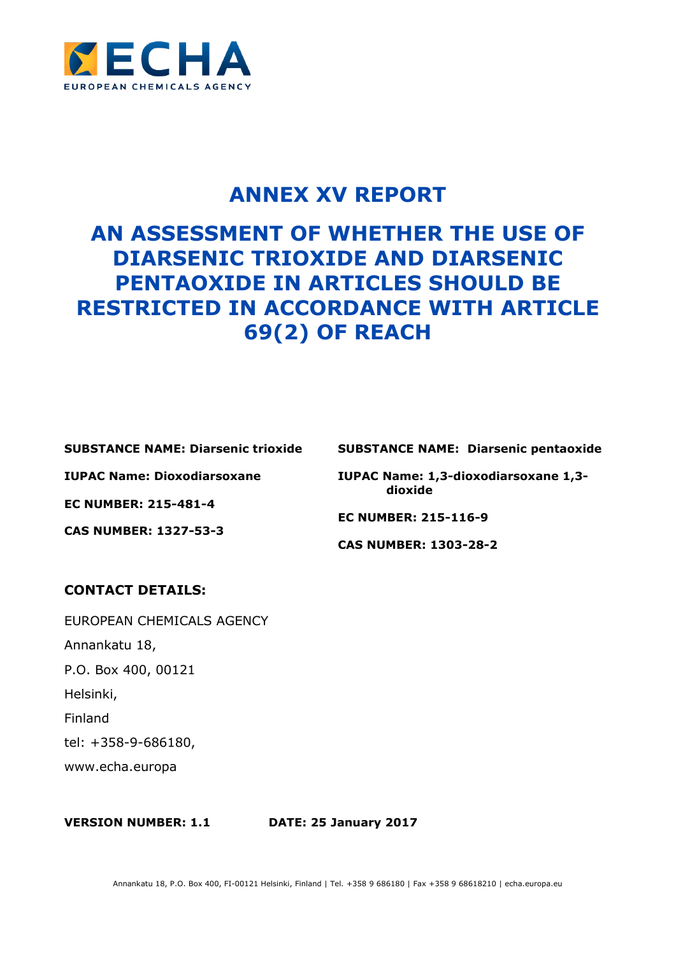

# **ANNEX XV REPORT**

# **AN ASSESSMENT OF WHETHER THE USE OF DIARSENIC TRIOXIDE AND DIARSENIC PENTAOXIDE IN ARTICLES SHOULD BE RESTRICTED IN ACCORDANCE WITH ARTICLE 69(2) OF REACH**

**SUBSTANCE NAME: Diarsenic trioxide**

**IUPAC Name: Dioxodiarsoxane**

**EC NUMBER: 215-481-4**

**CAS NUMBER: 1327-53-3**

**SUBSTANCE NAME: Diarsenic pentaoxide**

**IUPAC Name: 1,3-dioxodiarsoxane 1,3 dioxide**

**EC NUMBER: 215-116-9**

**CAS NUMBER: 1303-28-2**

## **CONTACT DETAILS:**

EUROPEAN CHEMICALS AGENCY Annankatu 18, P.O. Box 400, 00121 Helsinki, Finland tel: +358-9-686180, www.echa.europa

**VERSION NUMBER: 1.1 DATE: 25 January 2017**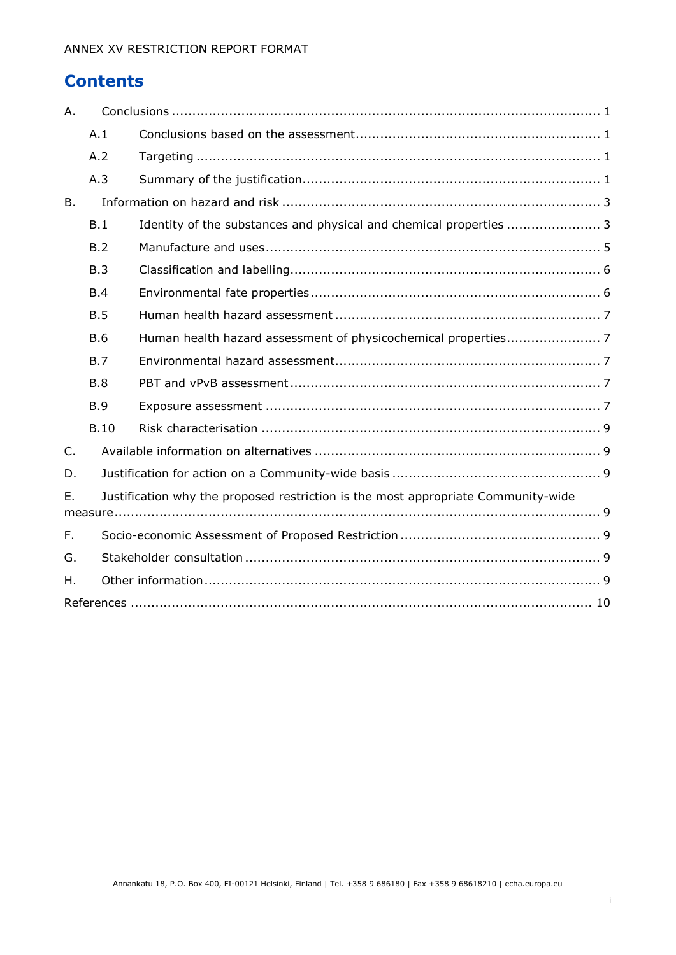# **Contents**

| Α.             |                                                                                   |                                                                    |  |
|----------------|-----------------------------------------------------------------------------------|--------------------------------------------------------------------|--|
|                | A.1                                                                               |                                                                    |  |
|                | A.2                                                                               |                                                                    |  |
|                | A.3                                                                               |                                                                    |  |
| <b>B.</b>      |                                                                                   |                                                                    |  |
|                | B.1                                                                               | Identity of the substances and physical and chemical properties  3 |  |
|                | B.2                                                                               |                                                                    |  |
|                | B.3                                                                               |                                                                    |  |
|                | B.4                                                                               |                                                                    |  |
|                | B.5                                                                               |                                                                    |  |
|                | <b>B.6</b>                                                                        |                                                                    |  |
|                | B.7                                                                               |                                                                    |  |
|                | B.8                                                                               |                                                                    |  |
|                | B.9                                                                               |                                                                    |  |
|                | <b>B.10</b>                                                                       |                                                                    |  |
| $\mathsf{C}$ . |                                                                                   |                                                                    |  |
| D.             |                                                                                   |                                                                    |  |
| Ε.             | Justification why the proposed restriction is the most appropriate Community-wide |                                                                    |  |
| F.             |                                                                                   |                                                                    |  |
| G.             |                                                                                   |                                                                    |  |
| Η.             |                                                                                   |                                                                    |  |
|                |                                                                                   |                                                                    |  |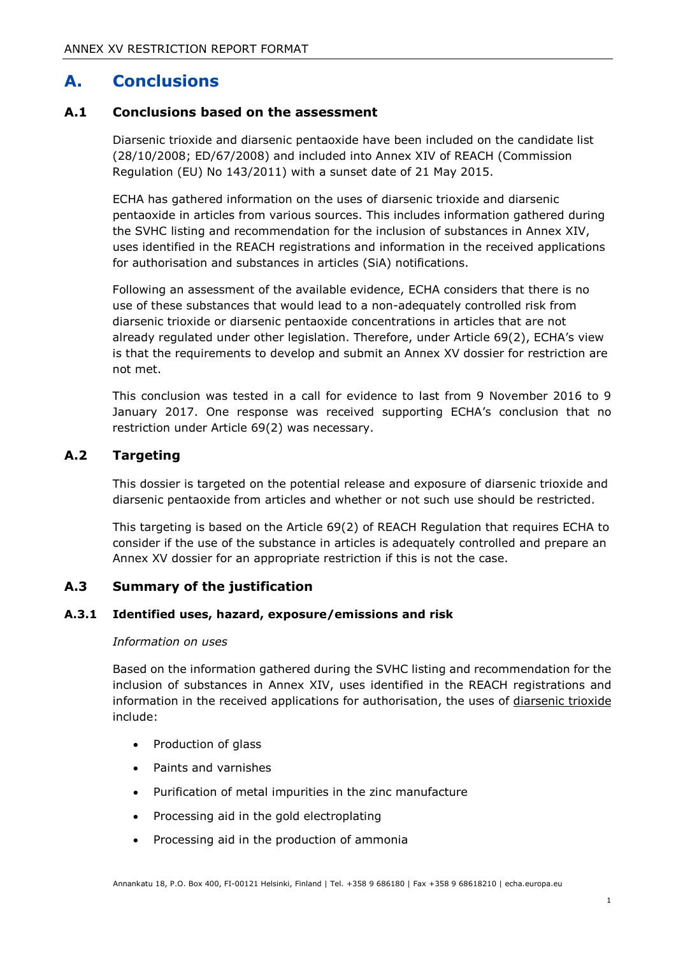# <span id="page-2-0"></span>**A. Conclusions**

### <span id="page-2-1"></span>**A.1 Conclusions based on the assessment**

Diarsenic trioxide and diarsenic pentaoxide have been included on the candidate list (28/10/2008; ED/67/2008) and included into Annex XIV of REACH (Commission Regulation (EU) No 143/2011) with a sunset date of 21 May 2015.

ECHA has gathered information on the uses of diarsenic trioxide and diarsenic pentaoxide in articles from various sources. This includes information gathered during the SVHC listing and recommendation for the inclusion of substances in Annex XIV, uses identified in the REACH registrations and information in the received applications for authorisation and substances in articles (SiA) notifications.

Following an assessment of the available evidence, ECHA considers that there is no use of these substances that would lead to a non-adequately controlled risk from diarsenic trioxide or diarsenic pentaoxide concentrations in articles that are not already regulated under other legislation. Therefore, under Article 69(2), ECHA's view is that the requirements to develop and submit an Annex XV dossier for restriction are not met.

This conclusion was tested in a call for evidence to last from 9 November 2016 to 9 January 2017. One response was received supporting ECHA's conclusion that no restriction under Article 69(2) was necessary.

### <span id="page-2-2"></span>**A.2 Targeting**

This dossier is targeted on the potential release and exposure of diarsenic trioxide and diarsenic pentaoxide from articles and whether or not such use should be restricted.

This targeting is based on the Article 69(2) of REACH Regulation that requires ECHA to consider if the use of the substance in articles is adequately controlled and prepare an Annex XV dossier for an appropriate restriction if this is not the case.

### <span id="page-2-3"></span>**A.3 Summary of the justification**

#### **A.3.1 Identified uses, hazard, exposure/emissions and risk**

#### *Information on uses*

Based on the information gathered during the SVHC listing and recommendation for the inclusion of substances in Annex XIV, uses identified in the REACH registrations and information in the received applications for authorisation, the uses of diarsenic trioxide include:

- Production of glass
- Paints and varnishes
- Purification of metal impurities in the zinc manufacture
- Processing aid in the gold electroplating
- Processing aid in the production of ammonia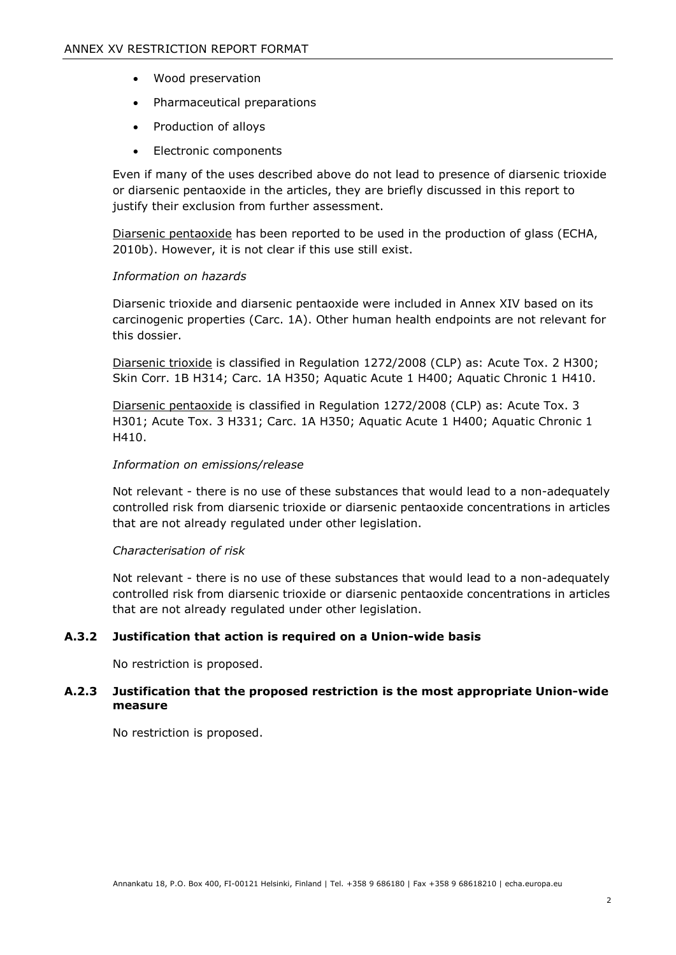- Wood preservation
- Pharmaceutical preparations
- Production of alloys
- Electronic components

Even if many of the uses described above do not lead to presence of diarsenic trioxide or diarsenic pentaoxide in the articles, they are briefly discussed in this report to justify their exclusion from further assessment.

Diarsenic pentaoxide has been reported to be used in the production of glass (ECHA, 2010b). However, it is not clear if this use still exist.

#### *Information on hazards*

Diarsenic trioxide and diarsenic pentaoxide were included in Annex XIV based on its carcinogenic properties (Carc. 1A). Other human health endpoints are not relevant for this dossier.

Diarsenic trioxide is classified in Regulation 1272/2008 (CLP) as: Acute Tox. 2 H300; Skin Corr. 1B H314; Carc. 1A H350; Aquatic Acute 1 H400; Aquatic Chronic 1 H410.

Diarsenic pentaoxide is classified in Regulation 1272/2008 (CLP) as: Acute Tox. 3 H301; Acute Tox. 3 H331; Carc. 1A H350; Aquatic Acute 1 H400; Aquatic Chronic 1 H410.

#### *Information on emissions/release*

Not relevant - there is no use of these substances that would lead to a non-adequately controlled risk from diarsenic trioxide or diarsenic pentaoxide concentrations in articles that are not already regulated under other legislation.

#### *Characterisation of risk*

Not relevant - there is no use of these substances that would lead to a non-adequately controlled risk from diarsenic trioxide or diarsenic pentaoxide concentrations in articles that are not already regulated under other legislation.

#### **A.3.2 Justification that action is required on a Union-wide basis**

No restriction is proposed.

#### **A.2.3 Justification that the proposed restriction is the most appropriate Union-wide measure**

No restriction is proposed.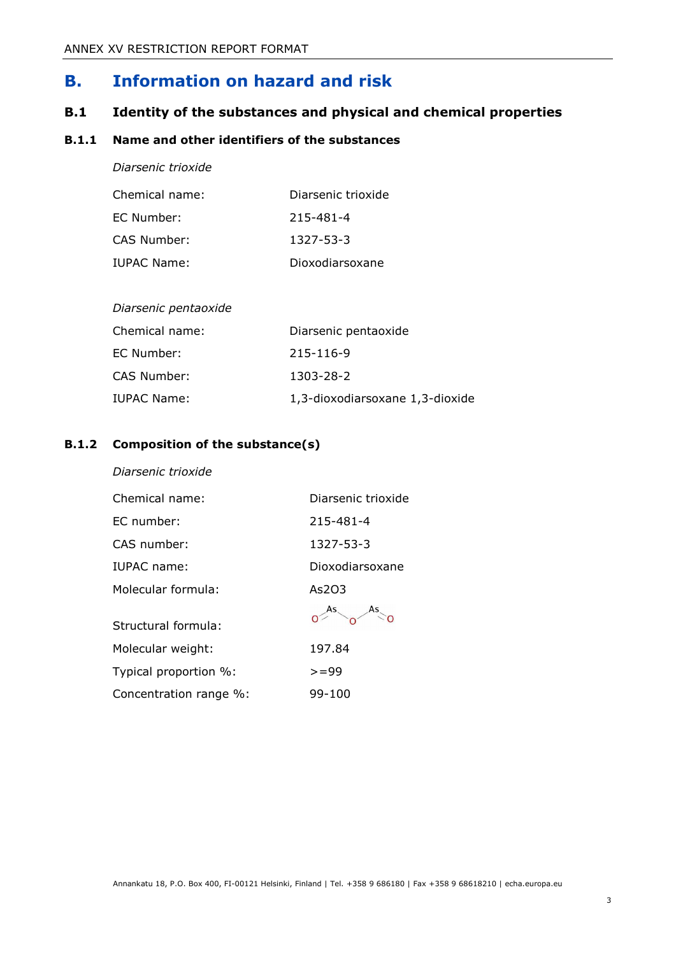# <span id="page-4-0"></span>**B. Information on hazard and risk**

## <span id="page-4-1"></span>**B.1 Identity of the substances and physical and chemical properties**

### **B.1.1 Name and other identifiers of the substances**

*Diarsenic trioxide*

| Chemical name: | Diarsenic trioxide |
|----------------|--------------------|
| EC Number:     | 215-481-4          |
| CAS Number:    | 1327-53-3          |
| IUPAC Name:    | Dioxodiarsoxane    |

| Chemical name: | Diarsenic pentaoxide            |
|----------------|---------------------------------|
| EC Number:     | 215-116-9                       |
| CAS Number:    | 1303-28-2                       |
| IUPAC Name:    | 1,3-dioxodiarsoxane 1,3-dioxide |

### **B.1.2 Composition of the substance(s)**

*Diarsenic trioxide*

| Chemical name:         | Diarsenic trioxide |
|------------------------|--------------------|
| EC number:             | 215-481-4          |
| CAS number:            | 1327-53-3          |
| IUPAC name:            | Dioxodiarsoxane    |
| Molecular formula:     | As2O3              |
| Structural formula:    |                    |
| Molecular weight:      | 197.84             |
| Typical proportion %:  | $>= 99$            |
| Concentration range %: | 99-100             |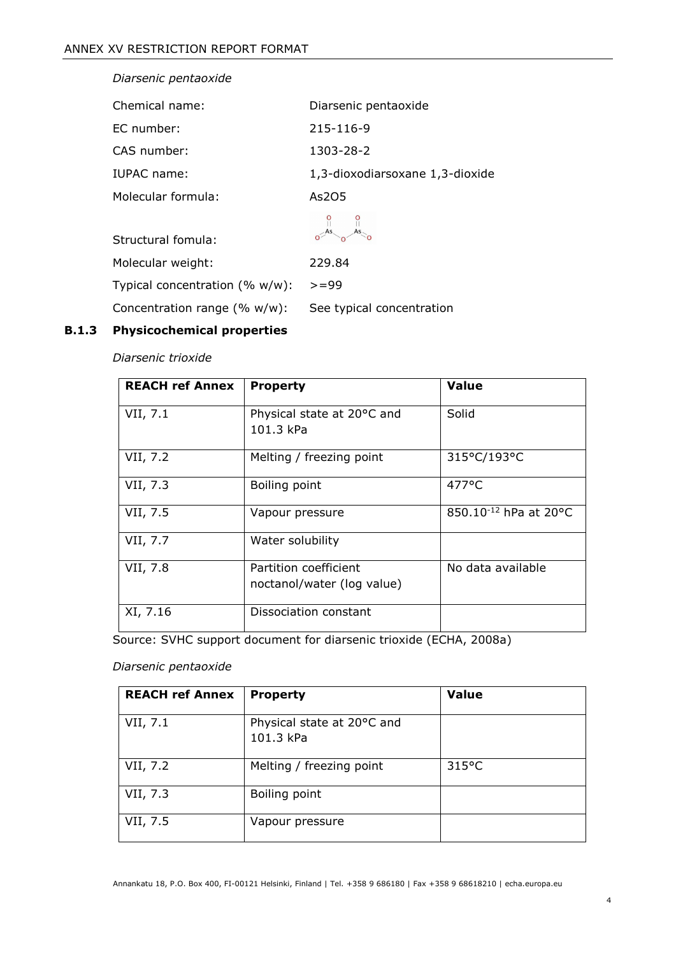| Diarsenic pentaoxide             |                                 |
|----------------------------------|---------------------------------|
| Chemical name:                   | Diarsenic pentaoxide            |
| EC number:                       | 215-116-9                       |
| CAS number:                      | 1303-28-2                       |
| IUPAC name:                      | 1,3-dioxodiarsoxane 1,3-dioxide |
| Molecular formula:               | As205                           |
| Structural fomula:               |                                 |
| Molecular weight:                | 229.84                          |
| Typical concentration (% w/w):   | $>= 99$                         |
| Concentration range $(\% w/w)$ : | See typical concentration       |

# **B.1.3 Physicochemical properties**

*Diarsenic trioxide*

| <b>REACH ref Annex</b> | <b>Property</b>                                     | <b>Value</b>                      |
|------------------------|-----------------------------------------------------|-----------------------------------|
| VII, 7.1               | Physical state at 20°C and<br>101.3 kPa             | Solid                             |
| VII, 7.2               | Melting / freezing point                            | 315°C/193°C                       |
| VII, 7.3               | Boiling point                                       | $477$ °C                          |
| VII, 7.5               | Vapour pressure                                     | 850.10 <sup>-12</sup> hPa at 20°C |
| VII, 7.7               | Water solubility                                    |                                   |
| VII, 7.8               | Partition coefficient<br>noctanol/water (log value) | No data available                 |
| XI, 7.16               | Dissociation constant                               |                                   |

Source: SVHC support document for diarsenic trioxide (ECHA, 2008a)

*Diarsenic pentaoxide*

| <b>REACH ref Annex</b> | <b>Property</b>                         | <b>Value</b> |
|------------------------|-----------------------------------------|--------------|
| VII, 7.1               | Physical state at 20°C and<br>101.3 kPa |              |
| VII, 7.2               | Melting / freezing point                | 315°C        |
| VII, 7.3               | Boiling point                           |              |
| VII, 7.5               | Vapour pressure                         |              |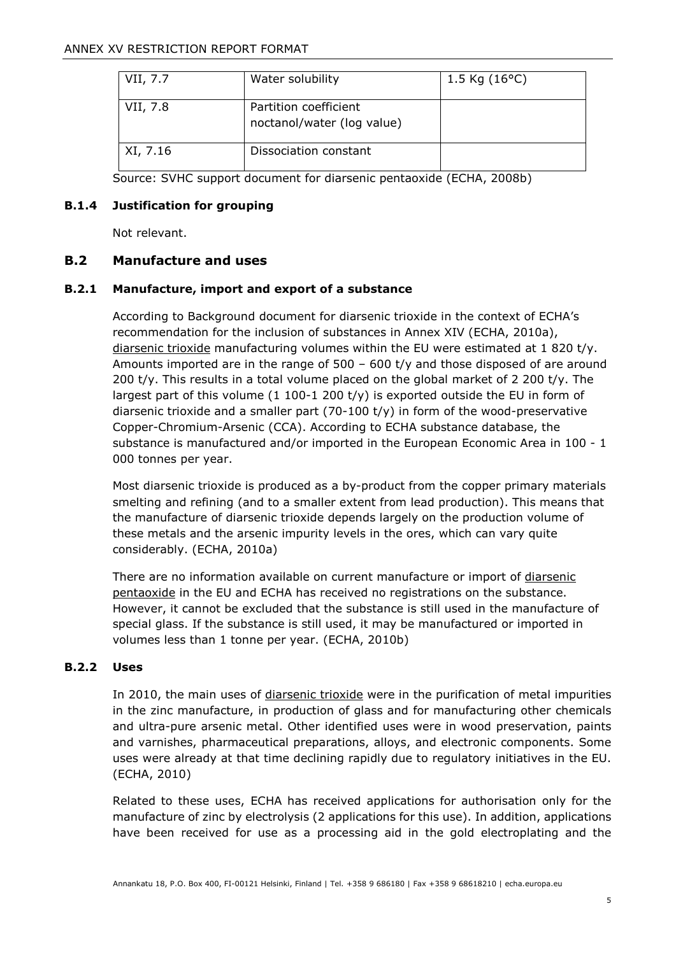| VII, 7.7 | Water solubility                                    | 1.5 Kg $(16^{\circ}C)$ |
|----------|-----------------------------------------------------|------------------------|
| VII, 7.8 | Partition coefficient<br>noctanol/water (log value) |                        |
| XI, 7.16 | Dissociation constant                               |                        |

Source: SVHC support document for diarsenic pentaoxide (ECHA, 2008b)

#### **B.1.4 Justification for grouping**

Not relevant.

### <span id="page-6-0"></span>**B.2 Manufacture and uses**

#### **B.2.1 Manufacture, import and export of a substance**

According to Background document for diarsenic trioxide in the context of ECHA's recommendation for the inclusion of substances in Annex XIV (ECHA, 2010a), diarsenic trioxide manufacturing volumes within the EU were estimated at 1 820 t/y. Amounts imported are in the range of 500 – 600 t/y and those disposed of are around 200 t/y. This results in a total volume placed on the global market of 2 200 t/y. The largest part of this volume  $(1\ 100-1\ 200\ t/y)$  is exported outside the EU in form of diarsenic trioxide and a smaller part  $(70-100 t/y)$  in form of the wood-preservative Copper-Chromium-Arsenic (CCA). According to ECHA substance database, the substance is manufactured and/or imported in the European Economic Area in 100 - 1 000 tonnes per year.

Most diarsenic trioxide is produced as a by-product from the copper primary materials smelting and refining (and to a smaller extent from lead production). This means that the manufacture of diarsenic trioxide depends largely on the production volume of these metals and the arsenic impurity levels in the ores, which can vary quite considerably. (ECHA, 2010a)

There are no information available on current manufacture or import of diarsenic pentaoxide in the EU and ECHA has received no registrations on the substance. However, it cannot be excluded that the substance is still used in the manufacture of special glass. If the substance is still used, it may be manufactured or imported in volumes less than 1 tonne per year. (ECHA, 2010b)

### **B.2.2 Uses**

In 2010, the main uses of *diarsenic trioxide* were in the purification of metal impurities in the zinc manufacture, in production of glass and for manufacturing other chemicals and ultra-pure arsenic metal. Other identified uses were in wood preservation, paints and varnishes, pharmaceutical preparations, alloys, and electronic components. Some uses were already at that time declining rapidly due to regulatory initiatives in the EU. (ECHA, 2010)

Related to these uses, ECHA has received applications for authorisation only for the manufacture of zinc by electrolysis (2 applications for this use). In addition, applications have been received for use as a processing aid in the gold electroplating and the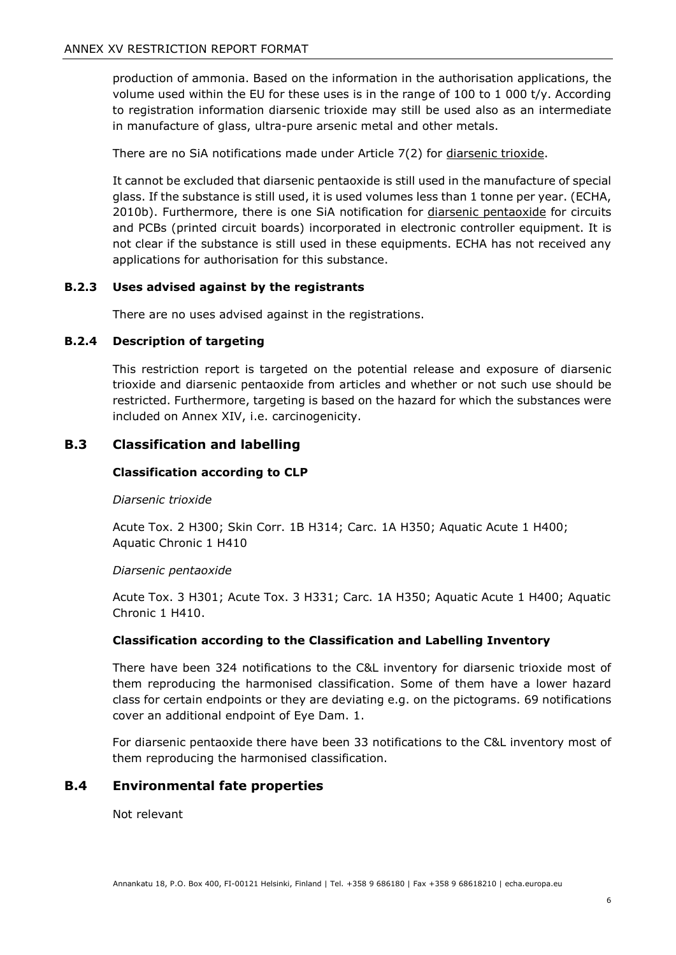production of ammonia. Based on the information in the authorisation applications, the volume used within the EU for these uses is in the range of  $100$  to  $1000$  t/y. According to registration information diarsenic trioxide may still be used also as an intermediate in manufacture of glass, ultra-pure arsenic metal and other metals.

There are no SiA notifications made under Article 7(2) for diarsenic trioxide.

It cannot be excluded that diarsenic pentaoxide is still used in the manufacture of special glass. If the substance is still used, it is used volumes less than 1 tonne per year. (ECHA, 2010b). Furthermore, there is one SiA notification for *diarsenic pentaoxide* for circuits and PCBs (printed circuit boards) incorporated in electronic controller equipment. It is not clear if the substance is still used in these equipments. ECHA has not received any applications for authorisation for this substance.

#### **B.2.3 Uses advised against by the registrants**

There are no uses advised against in the registrations.

#### **B.2.4 Description of targeting**

This restriction report is targeted on the potential release and exposure of diarsenic trioxide and diarsenic pentaoxide from articles and whether or not such use should be restricted. Furthermore, targeting is based on the hazard for which the substances were included on Annex XIV, i.e. carcinogenicity.

### <span id="page-7-0"></span>**B.3 Classification and labelling**

#### **Classification according to CLP**

#### *Diarsenic trioxide*

Acute Tox. 2 H300; Skin Corr. 1B H314; Carc. 1A H350; Aquatic Acute 1 H400; Aquatic Chronic 1 H410

#### *Diarsenic pentaoxide*

Acute Tox. 3 H301; Acute Tox. 3 H331; Carc. 1A H350; Aquatic Acute 1 H400; Aquatic Chronic 1 H410.

#### **Classification according to the Classification and Labelling Inventory**

There have been 324 notifications to the C&L inventory for diarsenic trioxide most of them reproducing the harmonised classification. Some of them have a lower hazard class for certain endpoints or they are deviating e.g. on the pictograms. 69 notifications cover an additional endpoint of Eye Dam. 1.

For diarsenic pentaoxide there have been 33 notifications to the C&L inventory most of them reproducing the harmonised classification.

#### <span id="page-7-1"></span>**B.4 Environmental fate properties**

Not relevant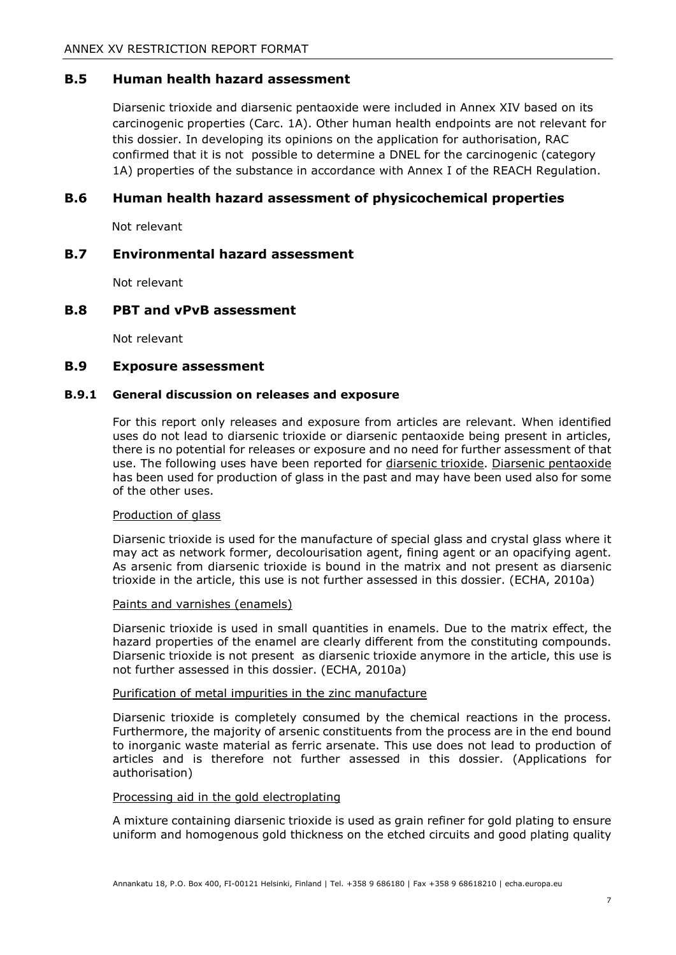### <span id="page-8-0"></span>**B.5 Human health hazard assessment**

Diarsenic trioxide and diarsenic pentaoxide were included in Annex XIV based on its carcinogenic properties (Carc. 1A). Other human health endpoints are not relevant for this dossier. In developing its opinions on the application for authorisation, RAC confirmed that it is not possible to determine a DNEL for the carcinogenic (category 1A) properties of the substance in accordance with Annex I of the REACH Regulation.

### <span id="page-8-1"></span>**B.6 Human health hazard assessment of physicochemical properties**

Not relevant

#### <span id="page-8-2"></span>**B.7 Environmental hazard assessment**

Not relevant

#### <span id="page-8-3"></span>**B.8 PBT and vPvB assessment**

Not relevant

#### <span id="page-8-4"></span>**B.9 Exposure assessment**

#### **B.9.1 General discussion on releases and exposure**

For this report only releases and exposure from articles are relevant. When identified uses do not lead to diarsenic trioxide or diarsenic pentaoxide being present in articles, there is no potential for releases or exposure and no need for further assessment of that use. The following uses have been reported for diarsenic trioxide. Diarsenic pentaoxide has been used for production of glass in the past and may have been used also for some of the other uses.

#### Production of glass

Diarsenic trioxide is used for the manufacture of special glass and crystal glass where it may act as network former, decolourisation agent, fining agent or an opacifying agent. As arsenic from diarsenic trioxide is bound in the matrix and not present as diarsenic trioxide in the article, this use is not further assessed in this dossier. (ECHA, 2010a)

#### Paints and varnishes (enamels)

Diarsenic trioxide is used in small quantities in enamels. Due to the matrix effect, the hazard properties of the enamel are clearly different from the constituting compounds. Diarsenic trioxide is not present as diarsenic trioxide anymore in the article, this use is not further assessed in this dossier. (ECHA, 2010a)

#### Purification of metal impurities in the zinc manufacture

Diarsenic trioxide is completely consumed by the chemical reactions in the process. Furthermore, the majority of arsenic constituents from the process are in the end bound to inorganic waste material as ferric arsenate. This use does not lead to production of articles and is therefore not further assessed in this dossier. (Applications for authorisation)

#### Processing aid in the gold electroplating

A mixture containing diarsenic trioxide is used as grain refiner for gold plating to ensure uniform and homogenous gold thickness on the etched circuits and good plating quality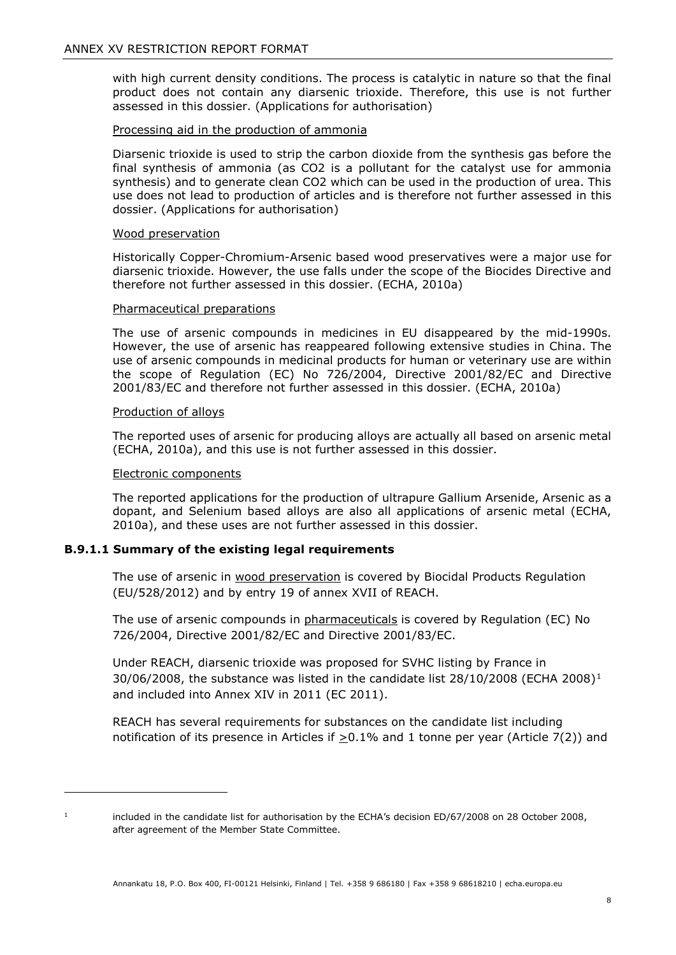with high current density conditions. The process is catalytic in nature so that the final product does not contain any diarsenic trioxide. Therefore, this use is not further assessed in this dossier. (Applications for authorisation)

#### Processing aid in the production of ammonia

Diarsenic trioxide is used to strip the carbon dioxide from the synthesis gas before the final synthesis of ammonia (as CO2 is a pollutant for the catalyst use for ammonia synthesis) and to generate clean CO2 which can be used in the production of urea. This use does not lead to production of articles and is therefore not further assessed in this dossier. (Applications for authorisation)

#### Wood preservation

Historically Copper-Chromium-Arsenic based wood preservatives were a major use for diarsenic trioxide. However, the use falls under the scope of the Biocides Directive and therefore not further assessed in this dossier. (ECHA, 2010a)

#### Pharmaceutical preparations

The use of arsenic compounds in medicines in EU disappeared by the mid-1990s. However, the use of arsenic has reappeared following extensive studies in China. The use of arsenic compounds in medicinal products for human or veterinary use are within the scope of Regulation (EC) No 726/2004, Directive 2001/82/EC and Directive 2001/83/EC and therefore not further assessed in this dossier. (ECHA, 2010a)

#### Production of alloys

The reported uses of arsenic for producing alloys are actually all based on arsenic metal (ECHA, 2010a), and this use is not further assessed in this dossier.

#### Electronic components

The reported applications for the production of ultrapure Gallium Arsenide, Arsenic as a dopant, and Selenium based alloys are also all applications of arsenic metal (ECHA, 2010a), and these uses are not further assessed in this dossier.

#### **B.9.1.1 Summary of the existing legal requirements**

The use of arsenic in wood preservation is covered by Biocidal Products Regulation (EU/528/2012) and by entry 19 of annex XVII of REACH.

The use of arsenic compounds in pharmaceuticals is covered by Regulation (EC) No 726/2004, Directive 2001/82/EC and Directive 2001/83/EC.

Under REACH, diarsenic trioxide was proposed for SVHC listing by France in  $30/06/2008$ , the substance was listed in the candidate list  $28/10/2008$  $28/10/2008$  $28/10/2008$  (ECHA 2008)<sup>1</sup> and included into Annex XIV in 2011 (EC 2011).

REACH has several requirements for substances on the candidate list including notification of its presence in Articles if  $\geq$ 0.1% and 1 tonne per year (Article 7(2)) and

-

<span id="page-9-0"></span>

<sup>&</sup>lt;sup>1</sup> included in the candidate list for authorisation by the ECHA's decision ED/67/2008 on 28 October 2008, after agreement of the Member State Committee.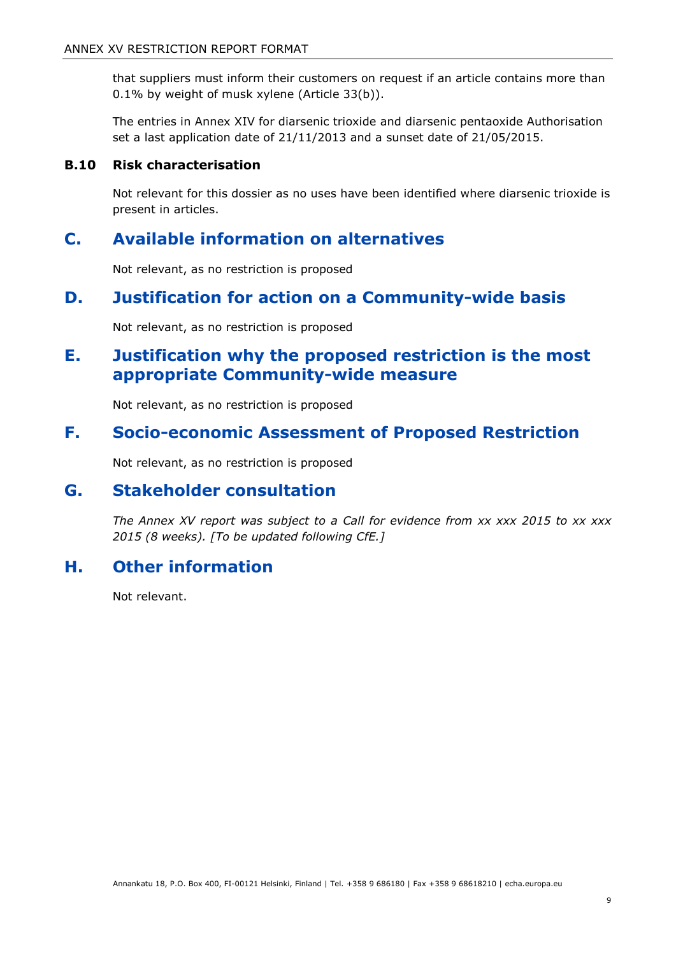that suppliers must inform their customers on request if an article contains more than 0.1% by weight of musk xylene (Article 33(b)).

The entries in Annex XIV for diarsenic trioxide and diarsenic pentaoxide Authorisation set a last application date of 21/11/2013 and a sunset date of 21/05/2015.

### <span id="page-10-0"></span>**B.10 Risk characterisation**

Not relevant for this dossier as no uses have been identified where diarsenic trioxide is present in articles.

# <span id="page-10-1"></span>**C. Available information on alternatives**

Not relevant, as no restriction is proposed

# <span id="page-10-2"></span>**D. Justification for action on a Community-wide basis**

Not relevant, as no restriction is proposed

# <span id="page-10-3"></span>**E. Justification why the proposed restriction is the most appropriate Community-wide measure**

Not relevant, as no restriction is proposed

# <span id="page-10-4"></span>**F. Socio-economic Assessment of Proposed Restriction**

Not relevant, as no restriction is proposed

# <span id="page-10-5"></span>**G. Stakeholder consultation**

*The Annex XV report was subject to a Call for evidence from xx xxx 2015 to xx xxx 2015 (8 weeks). [To be updated following CfE.]*

# <span id="page-10-6"></span>**H. Other information**

Not relevant.